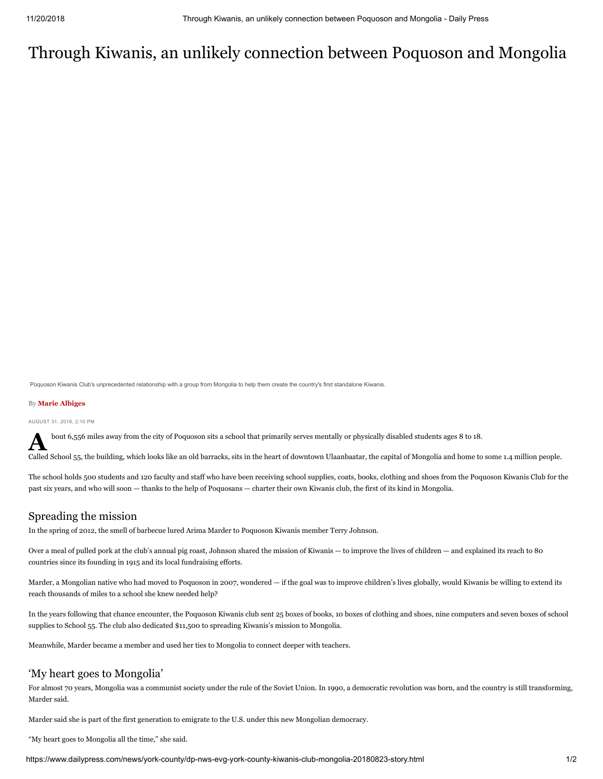# Through Kiwanis, an unlikely connection between Poquoson and Mongolia

Poquoson Kiwanis Club's unprecedented relationship with a group from Mongolia to help them create the country's first standalone Kiwanis.

### By **Marie Albiges**

AUGUST 31, 2018, 2:10 PM

bout 6,556 miles away from the city of Poquoson sits a school that primarily serves mentally or physically disabled students ages 8 to 18.

Called School 55, the building, which looks like an old barracks, sits in the heart of downtown Ulaanbaatar, the capital of Mongolia and home to some 1.4 million people.

The school holds 500 students and 120 faculty and staff who have been receiving school supplies, coats, books, clothing and shoes from the Poquoson Kiwanis Club for the past six years, and who will soon — thanks to the help of Poquosans — charter their own Kiwanis club, the first of its kind in Mongolia.

## Spreading the mission

In the spring of 2012, the smell of barbecue lured Arima Marder to Poquoson Kiwanis member Terry Johnson.

Over a meal of pulled pork at the club's annual pig roast, Johnson shared the mission of Kiwanis — to improve the lives of children — and explained its reach to 80 countries since its founding in 1915 and its local fundraising efforts.

Marder, a Mongolian native who had moved to Poquoson in 2007, wondered — if the goal was to improve children's lives globally, would Kiwanis be willing to extend its reach thousands of miles to a school she knew needed help?

In the years following that chance encounter, the Poquoson Kiwanis club sent 25 boxes of books, 10 boxes of clothing and shoes, nine computers and seven boxes of school supplies to School 55. The club also dedicated \$11,500 to spreading Kiwanis's mission to Mongolia.

Meanwhile, Marder became a member and used her ties to Mongolia to connect deeper with teachers.

## 'My heart goes to Mongolia'

For almost 70 years, Mongolia was a communist society under the rule of the Soviet Union. In 1990, a democratic revolution was born, and the country is still transforming, Marder said.

Marder said she is part of the first generation to emigrate to the U.S. under this new Mongolian democracy.

"My heart goes to Mongolia all the time," she said.

https://www.dailypress.com/news/york-county/dp-nws-evg-york-county-kiwanis-club-mongolia-20180823-story.html 1/2